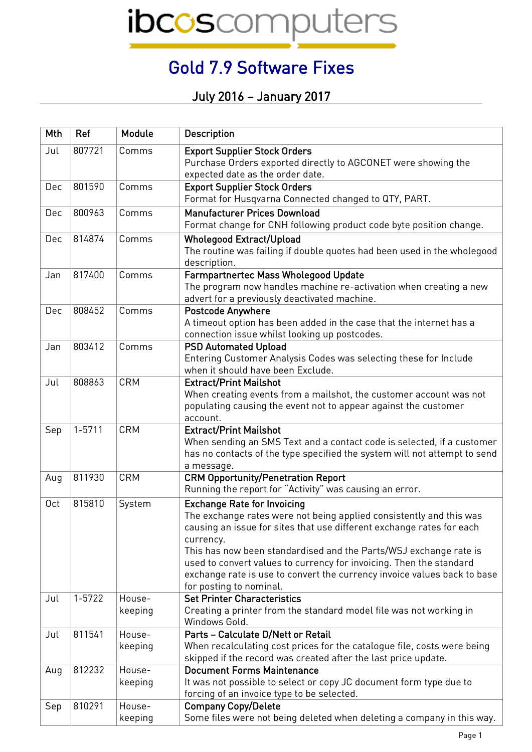ibcoscomputers

## Gold 7.9 Software Fixes

July 2016 – January 2017

| Mth             | Ref        | Module            | <b>Description</b>                                                                                                                                                                                                                                                                                                                                                                                                                                 |
|-----------------|------------|-------------------|----------------------------------------------------------------------------------------------------------------------------------------------------------------------------------------------------------------------------------------------------------------------------------------------------------------------------------------------------------------------------------------------------------------------------------------------------|
| Jul             | 807721     | Comms             | <b>Export Supplier Stock Orders</b><br>Purchase Orders exported directly to AGCONET were showing the<br>expected date as the order date.                                                                                                                                                                                                                                                                                                           |
| Dec             | 801590     | Comms             | <b>Export Supplier Stock Orders</b><br>Format for Husqvarna Connected changed to QTY, PART.                                                                                                                                                                                                                                                                                                                                                        |
| Dec             | 800963     | Comms             | <b>Manufacturer Prices Download</b><br>Format change for CNH following product code byte position change.                                                                                                                                                                                                                                                                                                                                          |
| Dec             | 814874     | Comms             | <b>Wholegood Extract/Upload</b><br>The routine was failing if double quotes had been used in the wholegood<br>description.                                                                                                                                                                                                                                                                                                                         |
| Jan             | 817400     | Comms             | <b>Farmpartnertec Mass Wholegood Update</b><br>The program now handles machine re-activation when creating a new<br>advert for a previously deactivated machine.                                                                                                                                                                                                                                                                                   |
| Dec             | 808452     | Comms             | <b>Postcode Anywhere</b><br>A timeout option has been added in the case that the internet has a<br>connection issue whilst looking up postcodes.                                                                                                                                                                                                                                                                                                   |
| Jan             | 803412     | Comms             | <b>PSD Automated Upload</b><br>Entering Customer Analysis Codes was selecting these for Include<br>when it should have been Exclude.                                                                                                                                                                                                                                                                                                               |
| Jul             | 808863     | <b>CRM</b>        | <b>Extract/Print Mailshot</b><br>When creating events from a mailshot, the customer account was not<br>populating causing the event not to appear against the customer<br>account.                                                                                                                                                                                                                                                                 |
| Sep             | $1 - 5711$ | <b>CRM</b>        | <b>Extract/Print Mailshot</b><br>When sending an SMS Text and a contact code is selected, if a customer<br>has no contacts of the type specified the system will not attempt to send<br>a message.                                                                                                                                                                                                                                                 |
| Aug             | 811930     | <b>CRM</b>        | <b>CRM Opportunity/Penetration Report</b><br>Running the report for "Activity" was causing an error.                                                                                                                                                                                                                                                                                                                                               |
| 0 <sub>ct</sub> | 815810     | System            | <b>Exchange Rate for Invoicing</b><br>The exchange rates were not being applied consistently and this was<br>causing an issue for sites that use different exchange rates for each<br>currency.<br>This has now been standardised and the Parts/WSJ exchange rate is<br>used to convert values to currency for invoicing. Then the standard<br>exchange rate is use to convert the currency invoice values back to base<br>for posting to nominal. |
| Jul             | $1 - 5722$ | House-<br>keeping | <b>Set Printer Characteristics</b><br>Creating a printer from the standard model file was not working in<br>Windows Gold.                                                                                                                                                                                                                                                                                                                          |
| Jul             | 811541     | House-<br>keeping | Parts - Calculate D/Nett or Retail<br>When recalculating cost prices for the catalogue file, costs were being<br>skipped if the record was created after the last price update.                                                                                                                                                                                                                                                                    |
| Aug             | 812232     | House-<br>keeping | <b>Document Forms Maintenance</b><br>It was not possible to select or copy JC document form type due to<br>forcing of an invoice type to be selected.                                                                                                                                                                                                                                                                                              |
| Sep             | 810291     | House-<br>keeping | <b>Company Copy/Delete</b><br>Some files were not being deleted when deleting a company in this way.                                                                                                                                                                                                                                                                                                                                               |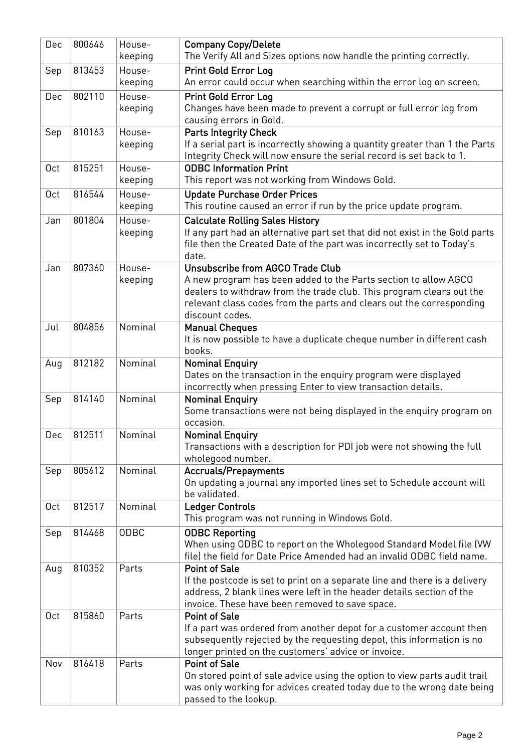| Dec             | 800646 | House-<br>keeping | <b>Company Copy/Delete</b><br>The Verify All and Sizes options now handle the printing correctly.                              |
|-----------------|--------|-------------------|--------------------------------------------------------------------------------------------------------------------------------|
| Sep             | 813453 | House-            | <b>Print Gold Error Log</b>                                                                                                    |
|                 |        | keeping           | An error could occur when searching within the error log on screen.                                                            |
| Dec             | 802110 | House-            | <b>Print Gold Error Log</b>                                                                                                    |
|                 |        | keeping           | Changes have been made to prevent a corrupt or full error log from                                                             |
|                 |        |                   | causing errors in Gold.                                                                                                        |
| Sep             | 810163 | House-            | <b>Parts Integrity Check</b>                                                                                                   |
|                 |        | keeping           | If a serial part is incorrectly showing a quantity greater than 1 the Parts                                                    |
|                 |        |                   | Integrity Check will now ensure the serial record is set back to 1.                                                            |
| 0ct             | 815251 | House-            | <b>ODBC Information Print</b>                                                                                                  |
|                 |        | keeping           | This report was not working from Windows Gold.                                                                                 |
| 0 <sub>ct</sub> | 816544 | House-            | <b>Update Purchase Order Prices</b>                                                                                            |
|                 |        | keeping           | This routine caused an error if run by the price update program.                                                               |
| Jan             | 801804 | House-            | <b>Calculate Rolling Sales History</b>                                                                                         |
|                 |        | keeping           | If any part had an alternative part set that did not exist in the Gold parts                                                   |
|                 |        |                   | file then the Created Date of the part was incorrectly set to Today's<br>date.                                                 |
| Jan             | 807360 | House-            | Unsubscribe from AGCO Trade Club                                                                                               |
|                 |        | keeping           | A new program has been added to the Parts section to allow AGCO                                                                |
|                 |        |                   | dealers to withdraw from the trade club. This program clears out the                                                           |
|                 |        |                   | relevant class codes from the parts and clears out the corresponding                                                           |
|                 |        |                   | discount codes.                                                                                                                |
| Jul             | 804856 | Nominal           | <b>Manual Cheques</b>                                                                                                          |
|                 |        |                   | It is now possible to have a duplicate cheque number in different cash                                                         |
|                 |        |                   | books.                                                                                                                         |
| Aug             | 812182 | Nominal           | <b>Nominal Enquiry</b>                                                                                                         |
|                 |        |                   | Dates on the transaction in the enquiry program were displayed<br>incorrectly when pressing Enter to view transaction details. |
| Sep             | 814140 | Nominal           | <b>Nominal Enquiry</b>                                                                                                         |
|                 |        |                   | Some transactions were not being displayed in the enquiry program on                                                           |
|                 |        |                   | occasion.                                                                                                                      |
| Dec             | 812511 | Nominal           | <b>Nominal Enguiry</b>                                                                                                         |
|                 |        |                   | Transactions with a description for PDI job were not showing the full                                                          |
|                 |        |                   | wholegood number.                                                                                                              |
| Sep             | 805612 | Nominal           | <b>Accruals/Prepayments</b>                                                                                                    |
|                 |        |                   | On updating a journal any imported lines set to Schedule account will<br>be validated.                                         |
| 0 <sub>ct</sub> | 812517 | Nominal           | <b>Ledger Controls</b>                                                                                                         |
|                 |        |                   | This program was not running in Windows Gold.                                                                                  |
| Sep             | 814468 | ODBC              | <b>ODBC Reporting</b>                                                                                                          |
|                 |        |                   | When using ODBC to report on the Wholegood Standard Model file (VW                                                             |
|                 |        |                   | file) the field for Date Price Amended had an invalid ODBC field name.                                                         |
| Aug             | 810352 | Parts             | <b>Point of Sale</b>                                                                                                           |
|                 |        |                   | If the postcode is set to print on a separate line and there is a delivery                                                     |
|                 |        |                   | address, 2 blank lines were left in the header details section of the                                                          |
|                 |        |                   | invoice. These have been removed to save space.                                                                                |
| 0 <sub>ct</sub> | 815860 | Parts             | <b>Point of Sale</b>                                                                                                           |
|                 |        |                   | If a part was ordered from another depot for a customer account then                                                           |
|                 |        |                   | subsequently rejected by the requesting depot, this information is no<br>longer printed on the customers' advice or invoice.   |
| Nov             | 816418 | Parts             | <b>Point of Sale</b>                                                                                                           |
|                 |        |                   | On stored point of sale advice using the option to view parts audit trail                                                      |
|                 |        |                   | was only working for advices created today due to the wrong date being                                                         |
|                 |        |                   | passed to the lookup.                                                                                                          |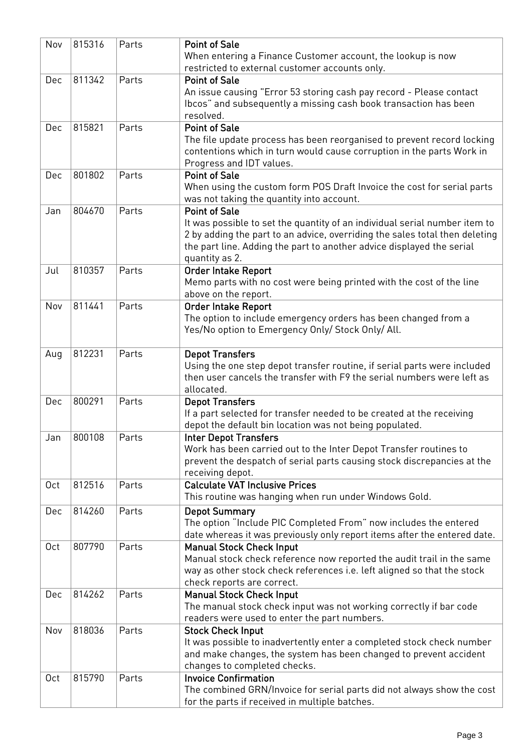| Nov             | 815316 | Parts | <b>Point of Sale</b><br>When entering a Finance Customer account, the lookup is now                |
|-----------------|--------|-------|----------------------------------------------------------------------------------------------------|
|                 |        |       | restricted to external customer accounts only.                                                     |
| Dec             | 811342 | Parts | <b>Point of Sale</b>                                                                               |
|                 |        |       | An issue causing "Error 53 storing cash pay record - Please contact                                |
|                 |        |       | Ibcos" and subsequently a missing cash book transaction has been<br>resolved.                      |
| Dec             | 815821 | Parts | <b>Point of Sale</b>                                                                               |
|                 |        |       | The file update process has been reorganised to prevent record locking                             |
|                 |        |       | contentions which in turn would cause corruption in the parts Work in                              |
|                 |        |       | Progress and IDT values.                                                                           |
| Dec             | 801802 | Parts | <b>Point of Sale</b>                                                                               |
|                 |        |       | When using the custom form POS Draft Invoice the cost for serial parts                             |
|                 |        |       | was not taking the quantity into account.                                                          |
| Jan             | 804670 | Parts | <b>Point of Sale</b>                                                                               |
|                 |        |       | It was possible to set the quantity of an individual serial number item to                         |
|                 |        |       | 2 by adding the part to an advice, overriding the sales total then deleting                        |
|                 |        |       | the part line. Adding the part to another advice displayed the serial                              |
|                 |        |       | quantity as 2.                                                                                     |
| Jul             | 810357 | Parts | <b>Order Intake Report</b>                                                                         |
|                 |        |       | Memo parts with no cost were being printed with the cost of the line                               |
|                 |        |       | above on the report.                                                                               |
| Nov             | 811441 | Parts | <b>Order Intake Report</b>                                                                         |
|                 |        |       | The option to include emergency orders has been changed from a                                     |
|                 |        |       | Yes/No option to Emergency Only/ Stock Only/ All.                                                  |
|                 | 812231 | Parts |                                                                                                    |
| Aug             |        |       | <b>Depot Transfers</b><br>Using the one step depot transfer routine, if serial parts were included |
|                 |        |       | then user cancels the transfer with F9 the serial numbers were left as                             |
|                 |        |       | allocated.                                                                                         |
| Dec             | 800291 | Parts | <b>Depot Transfers</b>                                                                             |
|                 |        |       | If a part selected for transfer needed to be created at the receiving                              |
|                 |        |       | depot the default bin location was not being populated.                                            |
| Jan             | 800108 | Parts | <b>Inter Depot Transfers</b>                                                                       |
|                 |        |       | Work has been carried out to the Inter Depot Transfer routines to                                  |
|                 |        |       | prevent the despatch of serial parts causing stock discrepancies at the                            |
|                 |        |       | receiving depot.                                                                                   |
| 0 <sub>ct</sub> | 812516 | Parts | <b>Calculate VAT Inclusive Prices</b>                                                              |
|                 |        |       | This routine was hanging when run under Windows Gold.                                              |
| Dec             | 814260 | Parts | <b>Depot Summary</b>                                                                               |
|                 |        |       | The option "Include PIC Completed From" now includes the entered                                   |
|                 |        |       | date whereas it was previously only report items after the entered date.                           |
| 0ct             | 807790 | Parts | <b>Manual Stock Check Input</b>                                                                    |
|                 |        |       | Manual stock check reference now reported the audit trail in the same                              |
|                 |        |       | way as other stock check references i.e. left aligned so that the stock                            |
|                 |        |       | check reports are correct.                                                                         |
| Dec             | 814262 | Parts | <b>Manual Stock Check Input</b>                                                                    |
|                 |        |       | The manual stock check input was not working correctly if bar code                                 |
| Nov             | 818036 | Parts | readers were used to enter the part numbers.                                                       |
|                 |        |       | <b>Stock Check Input</b><br>It was possible to inadvertently enter a completed stock check number  |
|                 |        |       | and make changes, the system has been changed to prevent accident                                  |
|                 |        |       | changes to completed checks.                                                                       |
| 0 <sub>ct</sub> | 815790 | Parts | <b>Invoice Confirmation</b>                                                                        |
|                 |        |       | The combined GRN/Invoice for serial parts did not always show the cost                             |
|                 |        |       | for the parts if received in multiple batches.                                                     |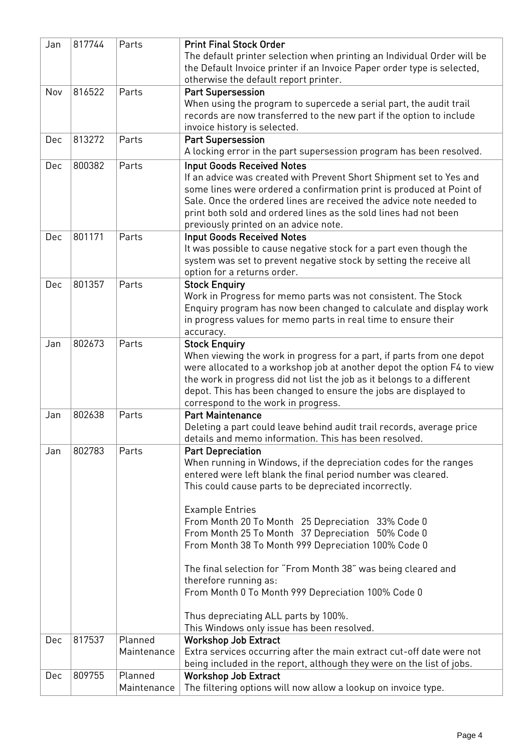| Jan | 817744 | Parts       | <b>Print Final Stock Order</b>                                          |
|-----|--------|-------------|-------------------------------------------------------------------------|
|     |        |             | The default printer selection when printing an Individual Order will be |
|     |        |             | the Default Invoice printer if an Invoice Paper order type is selected, |
|     |        |             | otherwise the default report printer.                                   |
| Nov | 816522 | Parts       | <b>Part Supersession</b>                                                |
|     |        |             | When using the program to supercede a serial part, the audit trail      |
|     |        |             | records are now transferred to the new part if the option to include    |
|     |        |             | invoice history is selected.                                            |
| Dec | 813272 | Parts       | <b>Part Supersession</b>                                                |
|     |        |             | A locking error in the part supersession program has been resolved.     |
|     |        |             |                                                                         |
| Dec | 800382 | Parts       | <b>Input Goods Received Notes</b>                                       |
|     |        |             | If an advice was created with Prevent Short Shipment set to Yes and     |
|     |        |             | some lines were ordered a confirmation print is produced at Point of    |
|     |        |             | Sale. Once the ordered lines are received the advice note needed to     |
|     |        |             | print both sold and ordered lines as the sold lines had not been        |
|     |        |             | previously printed on an advice note.                                   |
| Dec | 801171 | Parts       | <b>Input Goods Received Notes</b>                                       |
|     |        |             | It was possible to cause negative stock for a part even though the      |
|     |        |             | system was set to prevent negative stock by setting the receive all     |
|     |        |             | option for a returns order.                                             |
| Dec | 801357 | Parts       | <b>Stock Enquiry</b>                                                    |
|     |        |             | Work in Progress for memo parts was not consistent. The Stock           |
|     |        |             | Enquiry program has now been changed to calculate and display work      |
|     |        |             | in progress values for memo parts in real time to ensure their          |
|     |        |             | accuracy.                                                               |
| Jan | 802673 | Parts       | <b>Stock Enquiry</b>                                                    |
|     |        |             | When viewing the work in progress for a part, if parts from one depot   |
|     |        |             | were allocated to a workshop job at another depot the option F4 to view |
|     |        |             | the work in progress did not list the job as it belongs to a different  |
|     |        |             | depot. This has been changed to ensure the jobs are displayed to        |
|     |        |             | correspond to the work in progress.                                     |
| Jan | 802638 | Parts       | <b>Part Maintenance</b>                                                 |
|     |        |             | Deleting a part could leave behind audit trail records, average price   |
|     |        |             | details and memo information. This has been resolved.                   |
| Jan | 802783 | Parts       | <b>Part Depreciation</b>                                                |
|     |        |             | When running in Windows, if the depreciation codes for the ranges       |
|     |        |             | entered were left blank the final period number was cleared.            |
|     |        |             | This could cause parts to be depreciated incorrectly.                   |
|     |        |             |                                                                         |
|     |        |             | <b>Example Entries</b>                                                  |
|     |        |             | From Month 20 To Month 25 Depreciation 33% Code 0                       |
|     |        |             | From Month 25 To Month 37 Depreciation 50% Code 0                       |
|     |        |             | From Month 38 To Month 999 Depreciation 100% Code 0                     |
|     |        |             | The final selection for "From Month 38" was being cleared and           |
|     |        |             | therefore running as:                                                   |
|     |        |             | From Month 0 To Month 999 Depreciation 100% Code 0                      |
|     |        |             |                                                                         |
|     |        |             | Thus depreciating ALL parts by 100%.                                    |
|     |        |             | This Windows only issue has been resolved.                              |
| Dec | 817537 | Planned     | <b>Workshop Job Extract</b>                                             |
|     |        | Maintenance | Extra services occurring after the main extract cut-off date were not   |
|     |        |             | being included in the report, although they were on the list of jobs.   |
| Dec | 809755 | Planned     | <b>Workshop Job Extract</b>                                             |
|     |        | Maintenance | The filtering options will now allow a lookup on invoice type.          |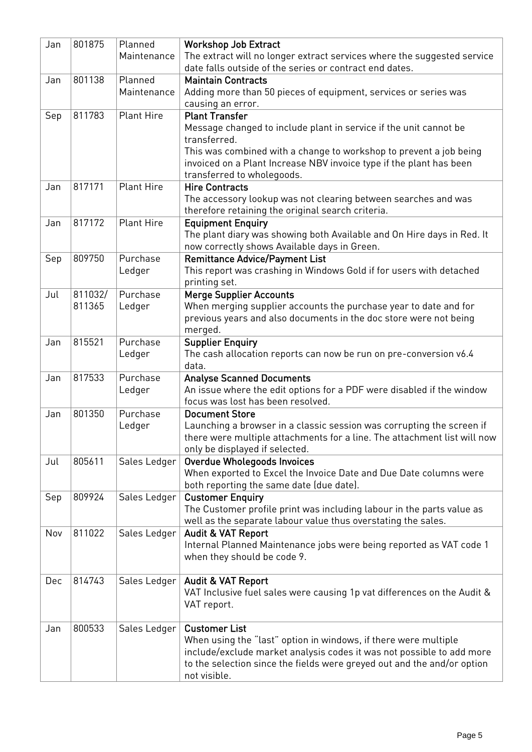| Jan | 801875  | Planned           | <b>Workshop Job Extract</b>                                                                                                                      |
|-----|---------|-------------------|--------------------------------------------------------------------------------------------------------------------------------------------------|
|     |         | Maintenance       | The extract will no longer extract services where the suggested service                                                                          |
|     |         |                   | date falls outside of the series or contract end dates.                                                                                          |
| Jan | 801138  | Planned           | <b>Maintain Contracts</b>                                                                                                                        |
|     |         | Maintenance       | Adding more than 50 pieces of equipment, services or series was                                                                                  |
|     |         |                   | causing an error.                                                                                                                                |
| Sep | 811783  | <b>Plant Hire</b> | <b>Plant Transfer</b>                                                                                                                            |
|     |         |                   | Message changed to include plant in service if the unit cannot be                                                                                |
|     |         |                   | transferred.<br>This was combined with a change to workshop to prevent a job being                                                               |
|     |         |                   | invoiced on a Plant Increase NBV invoice type if the plant has been                                                                              |
|     |         |                   | transferred to wholegoods.                                                                                                                       |
| Jan | 817171  | <b>Plant Hire</b> | <b>Hire Contracts</b>                                                                                                                            |
|     |         |                   | The accessory lookup was not clearing between searches and was                                                                                   |
|     |         |                   | therefore retaining the original search criteria.                                                                                                |
| Jan | 817172  | <b>Plant Hire</b> | <b>Equipment Enquiry</b>                                                                                                                         |
|     |         |                   | The plant diary was showing both Available and On Hire days in Red. It                                                                           |
|     |         |                   | now correctly shows Available days in Green.                                                                                                     |
| Sep | 809750  | Purchase          | <b>Remittance Advice/Payment List</b>                                                                                                            |
|     |         | Ledger            | This report was crashing in Windows Gold if for users with detached                                                                              |
|     |         |                   | printing set.                                                                                                                                    |
| Jul | 811032/ | Purchase          | <b>Merge Supplier Accounts</b>                                                                                                                   |
|     | 811365  | Ledger            | When merging supplier accounts the purchase year to date and for                                                                                 |
|     |         |                   | previous years and also documents in the doc store were not being                                                                                |
|     |         |                   | merged.                                                                                                                                          |
| Jan | 815521  | Purchase          | <b>Supplier Enquiry</b>                                                                                                                          |
|     |         | Ledger            | The cash allocation reports can now be run on pre-conversion v6.4<br>data.                                                                       |
| Jan | 817533  | Purchase          | <b>Analyse Scanned Documents</b>                                                                                                                 |
|     |         | Ledger            | An issue where the edit options for a PDF were disabled if the window                                                                            |
|     |         |                   | focus was lost has been resolved.                                                                                                                |
| Jan | 801350  | Purchase          | <b>Document Store</b>                                                                                                                            |
|     |         | Ledger            | Launching a browser in a classic session was corrupting the screen if                                                                            |
|     |         |                   | there were multiple attachments for a line. The attachment list will now                                                                         |
|     |         |                   | only be displayed if selected.                                                                                                                   |
| Jul | 805611  | Sales Ledger      | <b>Overdue Wholegoods Invoices</b>                                                                                                               |
|     |         |                   | When exported to Excel the Invoice Date and Due Date columns were                                                                                |
|     | 809924  | Sales Ledger      | both reporting the same date (due date).                                                                                                         |
| Sep |         |                   | <b>Customer Enquiry</b><br>The Customer profile print was including labour in the parts value as                                                 |
|     |         |                   | well as the separate labour value thus overstating the sales.                                                                                    |
| Nov | 811022  | Sales Ledger      | Audit & VAT Report                                                                                                                               |
|     |         |                   | Internal Planned Maintenance jobs were being reported as VAT code 1                                                                              |
|     |         |                   | when they should be code 9.                                                                                                                      |
|     |         |                   |                                                                                                                                                  |
| Dec | 814743  | Sales Ledger      | <b>Audit &amp; VAT Report</b>                                                                                                                    |
|     |         |                   | VAT Inclusive fuel sales were causing 1p vat differences on the Audit &                                                                          |
|     |         |                   | VAT report.                                                                                                                                      |
|     |         |                   |                                                                                                                                                  |
| Jan | 800533  | Sales Ledger      | <b>Customer List</b>                                                                                                                             |
|     |         |                   | When using the "last" option in windows, if there were multiple                                                                                  |
|     |         |                   | include/exclude market analysis codes it was not possible to add more<br>to the selection since the fields were greyed out and the and/or option |
|     |         |                   | not visible.                                                                                                                                     |
|     |         |                   |                                                                                                                                                  |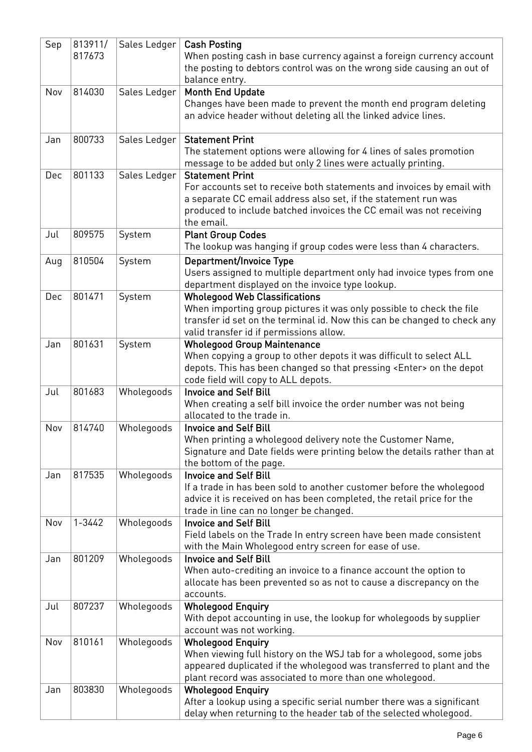| Sep | 813911/    | Sales Ledger | <b>Cash Posting</b>                                                         |
|-----|------------|--------------|-----------------------------------------------------------------------------|
|     | 817673     |              | When posting cash in base currency against a foreign currency account       |
|     |            |              | the posting to debtors control was on the wrong side causing an out of      |
|     |            |              |                                                                             |
|     |            |              | balance entry.                                                              |
| Nov | 814030     | Sales Ledger | <b>Month End Update</b>                                                     |
|     |            |              | Changes have been made to prevent the month end program deleting            |
|     |            |              | an advice header without deleting all the linked advice lines.              |
|     |            |              |                                                                             |
| Jan | 800733     | Sales Ledger | <b>Statement Print</b>                                                      |
|     |            |              | The statement options were allowing for 4 lines of sales promotion          |
|     |            |              | message to be added but only 2 lines were actually printing.                |
| Dec | 801133     | Sales Ledger | <b>Statement Print</b>                                                      |
|     |            |              |                                                                             |
|     |            |              | For accounts set to receive both statements and invoices by email with      |
|     |            |              | a separate CC email address also set, if the statement run was              |
|     |            |              | produced to include batched invoices the CC email was not receiving         |
|     |            |              | the email.                                                                  |
| Jul | 809575     | System       | <b>Plant Group Codes</b>                                                    |
|     |            |              | The lookup was hanging if group codes were less than 4 characters.          |
| Aug | 810504     | System       | <b>Department/Invoice Type</b>                                              |
|     |            |              |                                                                             |
|     |            |              | Users assigned to multiple department only had invoice types from one       |
|     |            |              | department displayed on the invoice type lookup.                            |
| Dec | 801471     | System       | <b>Wholegood Web Classifications</b>                                        |
|     |            |              | When importing group pictures it was only possible to check the file        |
|     |            |              | transfer id set on the terminal id. Now this can be changed to check any    |
|     |            |              | valid transfer id if permissions allow.                                     |
| Jan | 801631     | System       | <b>Wholegood Group Maintenance</b>                                          |
|     |            |              | When copying a group to other depots it was difficult to select ALL         |
|     |            |              | depots. This has been changed so that pressing <enter> on the depot</enter> |
|     |            |              |                                                                             |
|     |            |              | code field will copy to ALL depots.                                         |
| Jul | 801683     | Wholegoods   | <b>Invoice and Self Bill</b>                                                |
|     |            |              | When creating a self bill invoice the order number was not being            |
|     |            |              | allocated to the trade in.                                                  |
| Nov | 814740     | Wholegoods   | <b>Invoice and Self Bill</b>                                                |
|     |            |              | When printing a wholegood delivery note the Customer Name,                  |
|     |            |              | Signature and Date fields were printing below the details rather than at    |
|     |            |              | the bottom of the page.                                                     |
| Jan | 817535     | Wholegoods   | <b>Invoice and Self Bill</b>                                                |
|     |            |              | If a trade in has been sold to another customer before the wholegood        |
|     |            |              | advice it is received on has been completed, the retail price for the       |
|     |            |              |                                                                             |
|     |            |              | trade in line can no longer be changed.                                     |
| Nov | $1 - 3442$ | Wholegoods   | <b>Invoice and Self Bill</b>                                                |
|     |            |              | Field labels on the Trade In entry screen have been made consistent         |
|     |            |              | with the Main Wholegood entry screen for ease of use.                       |
| Jan | 801209     | Wholegoods   | <b>Invoice and Self Bill</b>                                                |
|     |            |              | When auto-crediting an invoice to a finance account the option to           |
|     |            |              | allocate has been prevented so as not to cause a discrepancy on the         |
|     |            |              | accounts.                                                                   |
| Jul | 807237     | Wholegoods   | <b>Wholegood Enquiry</b>                                                    |
|     |            |              |                                                                             |
|     |            |              | With depot accounting in use, the lookup for wholegoods by supplier         |
|     |            |              | account was not working.                                                    |
| Nov | 810161     | Wholegoods   | <b>Wholegood Enquiry</b>                                                    |
|     |            |              | When viewing full history on the WSJ tab for a wholegood, some jobs         |
|     |            |              | appeared duplicated if the wholegood was transferred to plant and the       |
|     |            |              | plant record was associated to more than one wholegood.                     |
| Jan | 803830     | Wholegoods   | <b>Wholegood Enquiry</b>                                                    |
|     |            |              | After a lookup using a specific serial number there was a significant       |
|     |            |              | delay when returning to the header tab of the selected wholegood.           |
|     |            |              |                                                                             |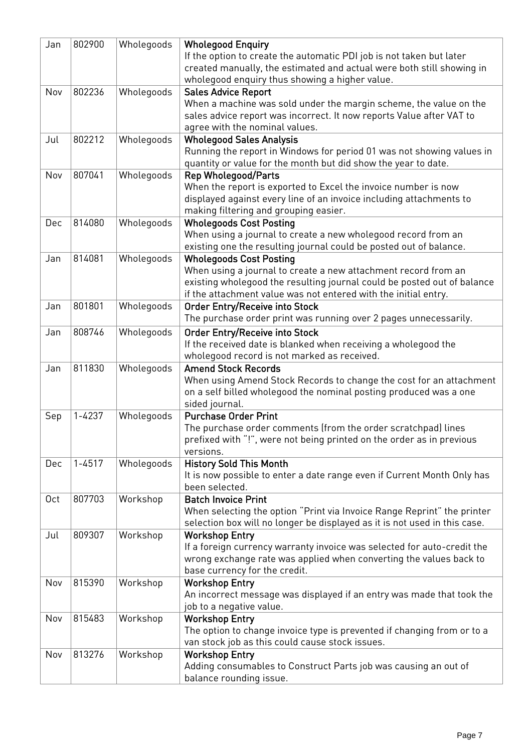| Jan | 802900     | Wholegoods | <b>Wholegood Enquiry</b>                                                  |
|-----|------------|------------|---------------------------------------------------------------------------|
|     |            |            | If the option to create the automatic PDI job is not taken but later      |
|     |            |            | created manually, the estimated and actual were both still showing in     |
|     |            |            | wholegood enquiry thus showing a higher value.                            |
| Nov | 802236     | Wholegoods | <b>Sales Advice Report</b>                                                |
|     |            |            | When a machine was sold under the margin scheme, the value on the         |
|     |            |            | sales advice report was incorrect. It now reports Value after VAT to      |
|     |            |            | agree with the nominal values.                                            |
| Jul | 802212     | Wholegoods | <b>Wholegood Sales Analysis</b>                                           |
|     |            |            | Running the report in Windows for period 01 was not showing values in     |
|     |            |            | quantity or value for the month but did show the year to date.            |
| Nov | 807041     | Wholegoods | <b>Rep Wholegood/Parts</b>                                                |
|     |            |            | When the report is exported to Excel the invoice number is now            |
|     |            |            | displayed against every line of an invoice including attachments to       |
|     |            |            | making filtering and grouping easier.                                     |
| Dec | 814080     | Wholegoods | <b>Wholegoods Cost Posting</b>                                            |
|     |            |            | When using a journal to create a new wholegood record from an             |
|     |            |            | existing one the resulting journal could be posted out of balance.        |
| Jan | 814081     | Wholegoods | <b>Wholegoods Cost Posting</b>                                            |
|     |            |            | When using a journal to create a new attachment record from an            |
|     |            |            | existing wholegood the resulting journal could be posted out of balance   |
|     |            |            | if the attachment value was not entered with the initial entry.           |
| Jan | 801801     | Wholegoods | <b>Order Entry/Receive into Stock</b>                                     |
|     |            |            | The purchase order print was running over 2 pages unnecessarily.          |
| Jan | 808746     | Wholegoods | <b>Order Entry/Receive into Stock</b>                                     |
|     |            |            | If the received date is blanked when receiving a wholegood the            |
|     |            |            | wholegood record is not marked as received.                               |
| Jan | 811830     | Wholegoods | <b>Amend Stock Records</b>                                                |
|     |            |            | When using Amend Stock Records to change the cost for an attachment       |
|     |            |            | on a self billed wholegood the nominal posting produced was a one         |
|     |            |            | sided journal.                                                            |
| Sep | $1 - 4237$ | Wholegoods | <b>Purchase Order Print</b>                                               |
|     |            |            | The purchase order comments (from the order scratchpad) lines             |
|     |            |            | prefixed with "!", were not being printed on the order as in previous     |
|     |            |            | versions.                                                                 |
| Dec | $1 - 4517$ | Wholegoods | <b>History Sold This Month</b>                                            |
|     |            |            | It is now possible to enter a date range even if Current Month Only has   |
|     |            |            | been selected.                                                            |
| 0ct | 807703     | Workshop   | <b>Batch Invoice Print</b>                                                |
|     |            |            | When selecting the option "Print via Invoice Range Reprint" the printer   |
|     |            |            | selection box will no longer be displayed as it is not used in this case. |
| Jul | 809307     | Workshop   | <b>Workshop Entry</b>                                                     |
|     |            |            | If a foreign currency warranty invoice was selected for auto-credit the   |
|     |            |            | wrong exchange rate was applied when converting the values back to        |
|     |            |            | base currency for the credit.                                             |
| Nov | 815390     | Workshop   | <b>Workshop Entry</b>                                                     |
|     |            |            | An incorrect message was displayed if an entry was made that took the     |
|     |            |            | job to a negative value.                                                  |
| Nov | 815483     | Workshop   | <b>Workshop Entry</b>                                                     |
|     |            |            | The option to change invoice type is prevented if changing from or to a   |
|     |            |            | van stock job as this could cause stock issues.                           |
| Nov | 813276     | Workshop   | <b>Workshop Entry</b>                                                     |
|     |            |            | Adding consumables to Construct Parts job was causing an out of           |
|     |            |            | balance rounding issue.                                                   |
|     |            |            |                                                                           |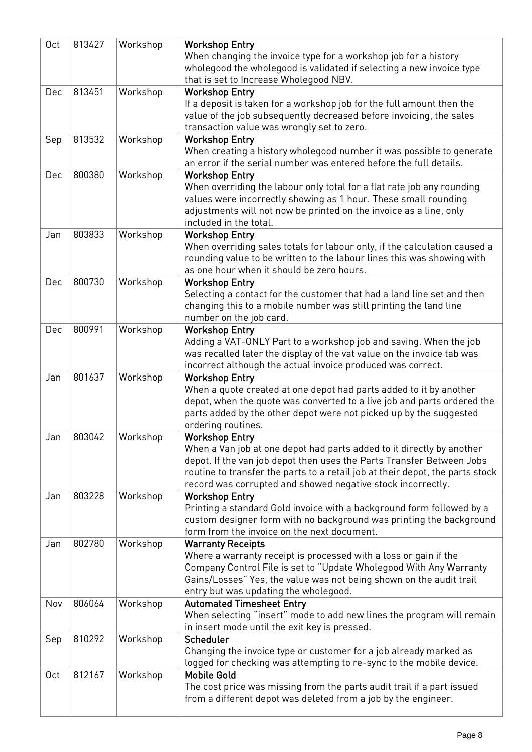| Oct | 813427 | Workshop | <b>Workshop Entry</b>                                                                                                                                  |
|-----|--------|----------|--------------------------------------------------------------------------------------------------------------------------------------------------------|
|     |        |          | When changing the invoice type for a workshop job for a history                                                                                        |
|     |        |          | wholegood the wholegood is validated if selecting a new invoice type                                                                                   |
|     |        |          | that is set to Increase Wholegood NBV.                                                                                                                 |
| Dec | 813451 | Workshop | <b>Workshop Entry</b>                                                                                                                                  |
|     |        |          | If a deposit is taken for a workshop job for the full amount then the                                                                                  |
|     |        |          | value of the job subsequently decreased before invoicing, the sales<br>transaction value was wrongly set to zero.                                      |
| Sep | 813532 | Workshop | <b>Workshop Entry</b>                                                                                                                                  |
|     |        |          | When creating a history wholegood number it was possible to generate                                                                                   |
|     |        |          | an error if the serial number was entered before the full details.                                                                                     |
| Dec | 800380 | Workshop | <b>Workshop Entry</b>                                                                                                                                  |
|     |        |          | When overriding the labour only total for a flat rate job any rounding                                                                                 |
|     |        |          | values were incorrectly showing as 1 hour. These small rounding                                                                                        |
|     |        |          | adjustments will not now be printed on the invoice as a line, only                                                                                     |
|     |        |          | included in the total.                                                                                                                                 |
| Jan | 803833 | Workshop | <b>Workshop Entry</b>                                                                                                                                  |
|     |        |          | When overriding sales totals for labour only, if the calculation caused a                                                                              |
|     |        |          | rounding value to be written to the labour lines this was showing with                                                                                 |
|     |        |          | as one hour when it should be zero hours.                                                                                                              |
| Dec | 800730 | Workshop | <b>Workshop Entry</b>                                                                                                                                  |
|     |        |          | Selecting a contact for the customer that had a land line set and then                                                                                 |
|     |        |          | changing this to a mobile number was still printing the land line<br>number on the job card.                                                           |
| Dec | 800991 | Workshop | <b>Workshop Entry</b>                                                                                                                                  |
|     |        |          | Adding a VAT-ONLY Part to a workshop job and saving. When the job                                                                                      |
|     |        |          | was recalled later the display of the vat value on the invoice tab was                                                                                 |
|     |        |          | incorrect although the actual invoice produced was correct.                                                                                            |
| Jan | 801637 | Workshop | <b>Workshop Entry</b>                                                                                                                                  |
|     |        |          | When a quote created at one depot had parts added to it by another                                                                                     |
|     |        |          | depot, when the quote was converted to a live job and parts ordered the                                                                                |
|     |        |          | parts added by the other depot were not picked up by the suggested                                                                                     |
|     |        |          | ordering routines.                                                                                                                                     |
| Jan | 803042 | Workshop | <b>Workshop Entry</b>                                                                                                                                  |
|     |        |          | When a Van job at one depot had parts added to it directly by another                                                                                  |
|     |        |          | depot. If the van job depot then uses the Parts Transfer Between Jobs<br>routine to transfer the parts to a retail job at their depot, the parts stock |
|     |        |          | record was corrupted and showed negative stock incorrectly.                                                                                            |
| Jan | 803228 | Workshop | <b>Workshop Entry</b>                                                                                                                                  |
|     |        |          | Printing a standard Gold invoice with a background form followed by a                                                                                  |
|     |        |          | custom designer form with no background was printing the background                                                                                    |
|     |        |          | form from the invoice on the next document.                                                                                                            |
| Jan | 802780 | Workshop | <b>Warranty Receipts</b>                                                                                                                               |
|     |        |          | Where a warranty receipt is processed with a loss or gain if the                                                                                       |
|     |        |          | Company Control File is set to "Update Wholegood With Any Warranty                                                                                     |
|     |        |          | Gains/Losses" Yes, the value was not being shown on the audit trail                                                                                    |
|     |        |          | entry but was updating the wholegood.                                                                                                                  |
| Nov | 806064 | Workshop | <b>Automated Timesheet Entry</b>                                                                                                                       |
|     |        |          | When selecting "insert" mode to add new lines the program will remain                                                                                  |
|     |        |          | in insert mode until the exit key is pressed.                                                                                                          |
| Sep | 810292 | Workshop | Scheduler                                                                                                                                              |
|     |        |          | Changing the invoice type or customer for a job already marked as<br>logged for checking was attempting to re-sync to the mobile device.               |
| 0ct | 812167 | Workshop | <b>Mobile Gold</b>                                                                                                                                     |
|     |        |          | The cost price was missing from the parts audit trail if a part issued                                                                                 |
|     |        |          | from a different depot was deleted from a job by the engineer.                                                                                         |
|     |        |          |                                                                                                                                                        |